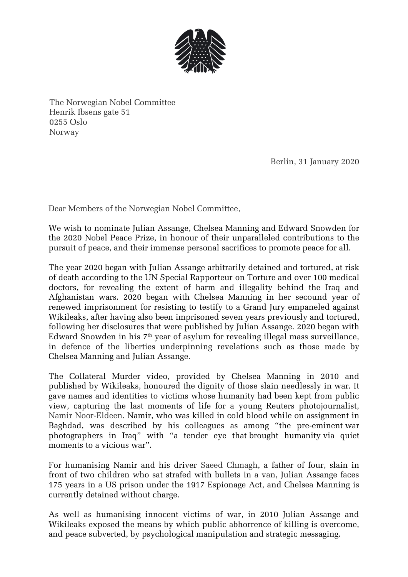

The Norwegian Nobel Committee Henrik Ibsens gate 51 0255 Oslo Norway

Berlin, 31 January 2020

Dear Members of the Norwegian Nobel Committee,

We wish to nominate Julian Assange, Chelsea Manning and Edward Snowden for the 2020 Nobel Peace Prize, in honour of their unparalleled contributions to the pursuit of peace, and their immense personal sacrifices to promote peace for all.

The year 2020 began with Julian Assange arbitrarily detained and tortured, at risk of death according to the UN Special Rapporteur on Torture and over 100 medical doctors, for revealing the extent of harm and illegality behind the Iraq and Afghanistan wars. 2020 began with Chelsea Manning in her secound year of renewed imprisonment for resisting to testify to a Grand Jury empaneled against Wikileaks, after having also been imprisoned seven years previously and tortured, following her disclosures that were published by Julian Assange. 2020 began with Edward Snowden in his  $7<sup>th</sup>$  year of asylum for revealing illegal mass surveillance, in defence of the liberties underpinning revelations such as those made by Chelsea Manning and Julian Assange.

The Collateral Murder video, provided by Chelsea Manning in 2010 and published by Wikileaks, honoured the dignity of those slain needlessly in war. It gave names and identities to victims whose humanity had been kept from public view, capturing the last moments of life for a young Reuters photojournalist, Namir Noor-Eldeen. Namir, who was killed in cold blood while on assignment in Baghdad, was described by his colleagues as among "[the pre-eminent](https://www.truthdig.com/articles/collateral-murder-in-iraq/) war photographers in Iraq" with "a tender eye that [brought humanity](https://www.dailykos.com/stories/2010/4/7/854709/-) via quiet moments to a vicious war".

For humanising Namir and his driver Saeed Chmagh, a father of four, slain in front of two children who sat strafed with bullets in a van, Julian Assange faces 175 years in a US prison under the 1917 Espionage Act, and Chelsea Manning is currently detained without charge.

As well as humanising innocent victims of war, in 2010 Julian Assange and Wikileaks exposed the means by which public abhorrence of killing is overcome, and peace subverted, by psychological manipulation and strategic messaging.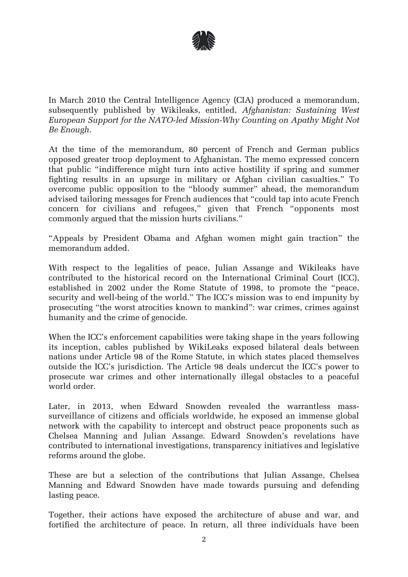

In March 2010 the Central Intelligence Agency (CIA) produced a [memorandum,](https://file.wikileaks.org/file/cia-afghanistan.pdf) subsequently published by Wikileaks, entitled, *Afghanistan: Sustaining West European Support for the NATO-led Mission-Why Counting on Apathy Might Not Be Enough.*

At the time of the memorandum, 80 percent of French and German publics opposed greater troop deployment to Afghanistan. The memo expressed concern that public "indifference might turn into active hostility if spring and summer fighting results in an upsurge in military or Afghan civilian casualties." To overcome public opposition to the "bloody summer" ahead, the memorandum advised tailoring messages for French audiences that "could tap into acute French concern for civilians and refugees," given that French "opponents most commonly argued that the mission hurts civilians."

"Appeals by President Obama and Afghan women might gain traction" the memorandum added.

With respect to the legalities of peace, Julian Assange and Wikileaks have contributed to the historical record on the International Criminal Court (ICC), established in 2002 under the [Rome Statute of 1998](https://www.icc-cpi.int/nr/rdonlyres/ea9aeff7-5752-4f84-be94-0a655eb30e16/0/rome_statute_english.pdf), to promote the "peace, security and well-being of the world." The ICC's mission was to end impunity by prosecuting "the [worst atrocities](https://www.un.org/en/chronicle/article/role-international-criminal-court-ending-impunity-and-establishing-rule-law) known to mankind": war crimes, crimes against humanity and the crime of genocide.

When the ICC's enforcement capabilities were taking shape in the years following its inception, cables published by WikiLeaks exposed bilateral deals between nations under Article 98 of the Rome Statute, in which states placed themselves outside the ICC's jurisdiction. The Article 98 deals undercut the ICC's power to prosecute war crimes and other internationally illegal obstacles to a peaceful world order.

Later, in 2013, when Edward Snowden revealed the warrantless masssurveillance of citizens and officials worldwide, he exposed an immense global network with the capability to intercept and obstruct peace proponents such as Chelsea Manning and Julian Assange. Edward Snowden's revelations have contributed to [international investigations,](https://edwardsnowden.com/impact/) transparency initiatives and legislative reforms around the globe.

These are but a selection of the contributions that Julian Assange, Chelsea Manning and Edward Snowden have made towards pursuing and defending lasting peace.

Together, their actions have exposed the architecture of abuse and war, and fortified the architecture of peace. In return, all three individuals have been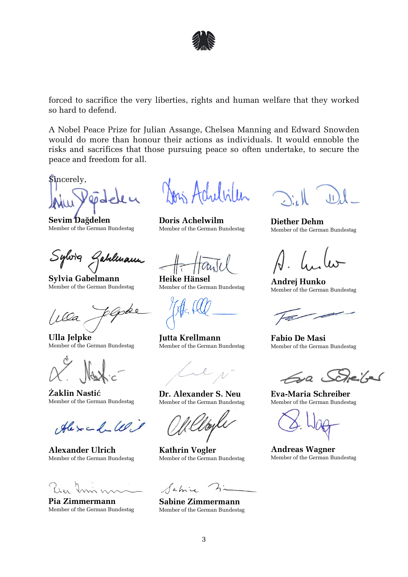

forced to sacrifice the very liberties, rights and human welfare that they worked so hard to defend.

A Nobel Peace Prize for Julian Assange, Chelsea Manning and Edward Snowden would do more than honour their actions as individuals. It would ennoble the risks and sacrifices that those pursuing peace so often undertake, to secure the peace and freedom for all.

Sincerely,

**Sevim Dağdelen** Member of the German Bundestag

Sylvig Jabelmann

**Sylvia Gabelmann** Member of the German Bundestag

**Ulla Jelpke** Member of the German Bundestag

**Żaklin Nastić** Member of the German Bundestag

Alexandelle

**Alexander Ulrich** Member of the German Bundestag

**Pia Zimmermann** Member of the German Bundestag

حداثنا

**Doris Achelwilm** Member of the German Bundestag

**Heike Hänsel** Member of the German Bundestag

**Jutta Krellmann** Member of the German Bundestag

**Dr. Alexander S. Neu** Member of the German Bundestag

**Kathrin Vogler** Member of the German Bundestag

Sabi

**Sabine Zimmermann** Member of the German Bundestag

**Diether Dehm** Member of the German Bundestag

**Andrej Hunko** Member of the German Bundestag

**Fabio De Masi** Member of the German Bundestag

 $\leq_{\mathcal{P}}$  Seize

**Eva-Maria Schreiber** Member of the German Bundestag

**Andreas Wagner** Member of the German Bundestag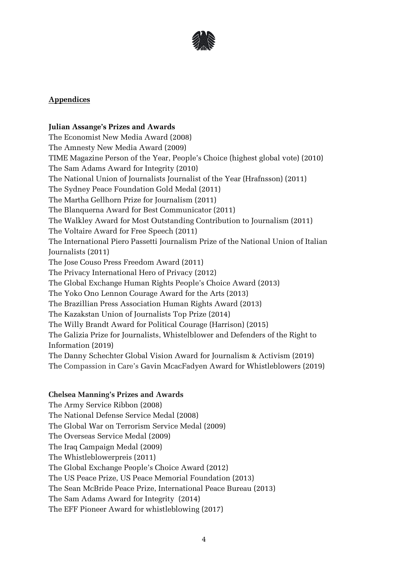

## **Appendices**

# **Julian Assange's Prizes and Awards**

The Economist New Media Award (2008) The Amnesty New Media Award (2009) TIME Magazine Person of the Year, People's Choice (highest global vote) (2010) The Sam Adams Award for Integrity (2010) The National Union of Journalists Journalist of the Year (Hrafnsson) (2011) The Sydney Peace Foundation Gold Medal (2011) The Martha Gellhorn Prize for Journalism (2011) The Blanquerna Award for Best Communicator (2011) The Walkley Award for Most Outstanding Contribution to Journalism (2011) The Voltaire Award for Free Speech (2011) The International Piero Passetti Journalism Prize of the National Union of Italian Journalists (2011) The Jose Couso Press Freedom Award (2011) The Privacy International Hero of Privacy (2012) The Global Exchange Human Rights People's Choice Award (2013) The Yoko Ono Lennon Courage Award for the Arts (2013) The Brazillian Press Association Human Rights Award (2013) The Kazakstan Union of Journalists Top Prize (2014) The Willy Brandt Award for Political Courage (Harrison) (2015) The Galizia Prize for Journalists, Whistelblower and Defenders of the Right to Information (2019) The Danny Schechter Global Vision Award for Journalism & Activism (2019) The Compassion in Care's Gavin McacFadyen Award for Whistleblowers (2019)

#### **Chelsea Manning's Prizes and Awards**

The Army Service Ribbon (2008) The National Defense Service Medal (2008) The Global War on Terrorism Service Medal (2009) The Overseas Service Medal (2009) The Iraq Campaign Medal (2009) The Whistleblowerpreis (2011) The Global Exchange People's Choice Award (2012) The US Peace Prize, US Peace Memorial Foundation (2013) The Sean McBride Peace Prize, International Peace Bureau (2013) The Sam Adams Award for Integrity (2014) The EFF Pioneer Award for whistleblowing (2017)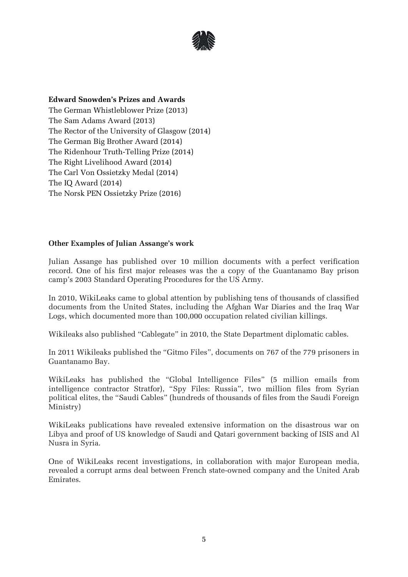

### **Edward Snowden's Prizes and Awards**

The German Whistleblower Prize (2013) The Sam Adams Award (2013) The Rector of the University of Glasgow (2014) The German Big Brother Award (2014) The Ridenhour Truth-Telling Prize (2014) The Right Livelihood Award (2014) The Carl Von Ossietzky Medal (2014) The IQ Award (2014) The Norsk PEN Ossietzky Prize (2016)

## **Other Examples of Julian Assange's work**

Julian Assange has published over 10 million documents with a perfect verification record. One of his first major releases was the a copy of the Guantanamo Bay prison camp's 2003 Standard Operating Procedures for the US Army.

In 2010, WikiLeaks came to global attention by publishing tens of thousands of classified documents from the United States, including the Afghan War Diaries and the Iraq War Logs, which documented more than 100,000 occupation related civilian killings.

Wikileaks also published "Cablegate" in 2010, the State Department diplomatic cables.

In 2011 Wikileaks published the "Gitmo Files", documents on 767 of the 779 prisoners in Guantanamo Bay.

WikiLeaks has published the "Global Intelligence Files" (5 million emails from intelligence contractor Stratfor), "Spy Files: Russia", two million files from Syrian political elites, the "Saudi Cables" (hundreds of thousands of files from the Saudi Foreign Ministry)

WikiLeaks publications have revealed extensive information on the disastrous war on Libya and proof of US knowledge of Saudi and Qatari government backing of ISIS and Al Nusra in Syria.

One of WikiLeaks recent investigations, in collaboration with major European media, revealed a corrupt arms deal between French state-owned company and the United Arab Emirates.